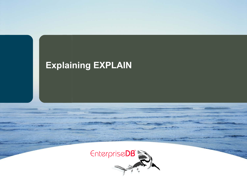# **Explaining EXPLAIN**

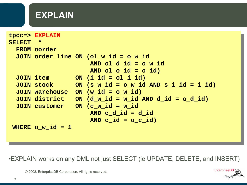### **EXPLAIN**

```
tpcc=> EXPLAIN
SELECT * 
  FROM oorder
  JOIN order_line ON (ol_w_id = o_w_id 
                       AND ol_d_id = o_w_id 
                      AND ol_o_id = o_id)
  JOIN item ON (i_id = ol_i_id)
  JOIN stock ON (s_w_id = o_w_id AND s_i_id = i_id)
  JOIN warehouse ON (w_id = o_w_id)
  JOIN district ON (d_w_id = w_id AND d_id = o_d_id)
  JOIN customer ON (c_w_id = w_id 
                       AND c_d_id = d_id 
                      AND c id = o c id)
WHERE \circ w id = 1
```
•EXPLAIN works on any DML not just SELECT (ie UPDATE, DELETE, and INSERT)

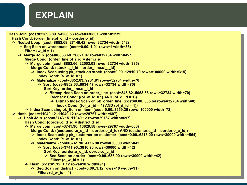## **EXPLAIN**

```
© 2008, EnterpriseDB Corporation. All rights reserved.
 Filter: (d_w_id = 1)Hash Join (cost=22896.89..54208.53 rows=330801 width=1239)
 Hash Cond: (order_line.ol_o_id = oorder.o_id)
  -> Nested Loop (cost=8853.68..27149.42 rows=32734 width=542)
      -> Seq Scan on warehouse (cost=0.00..1.01 rows=1 width=85)
         Filter: (w_id = 1)
      -> Merge Join (cost=8853.68..26821.07 rows=32734 width=457)
        Merge Cond: (order line.ol i id = item.i id)
         -> Merge Join (cost=8852.66..22503.03 rows=32734 width=385)
            Merge Cond: (stock.s_i_id = order_line.ol_i_id)
             -> Index Scan using pk_stock on stock (cost=0.00..12910.70 rows=100000 width=315)
                Index Cond: (s_w_id = 1)
             -> Materialize (cost=8852.63..9261.81 rows=32734 width=70)
                -> Sort (cost=8852.63..8934.47 rows=32734 width=70)
                   Sort Key: order line.ol i id
                   -> Bitmap Heap Scan on order_line (cost=843.82..5053.83 rows=32734 width=70)
                      Recheck Cond: ((ol w id = 1) AND (ol d id = 1))
                      -> Bitmap Index Scan on pk_order_line (cost=0.00..835.64 rows=32734 width=0)
                          Index Cond: ((ol w id = 1) AND (ol d id = 1)) -> Index Scan using pk_item on item (cost=0.00..3659.26 rows=100000 width=72)
  -> Hash (cost=11040.12..11040.12 rows=29767 width=697)
      -> Hash Join (cost=3743.15..11040.12 rows=29767 width=697)
         Hash Cond: (oorder.o_d_id = district.d_id)
         -> Merge Join (cost=3741.90..10629.58 rows=29767 width=606)
            Merge Cond: ((customer.c_d_id = oorder.o_d_id) AND (customer.c_id = oorder.o_c_id))
             -> Index Scan using pk_customer on customer (cost=0.00..6215.00 rows=30000 width=564)
                Index Cond: (c_w_id = 1)
            -> Materialize (cost=3741.90..4116.90 rows=30000 width=42)
                -> Sort (cost=3741.90..3816.90 rows=30000 width=42)
                    Sort Key: oorder.o_d_id, oorder.o_c_id
                   -> Seq Scan on oorder (cost=0.00..636.00 rows=30000 width=42)
                       Filter: (o_w_id = 1)
         -> Hash (cost=1.12..1.12 rows=10 width=91)
             -> Seq Scan on district (cost=0.00..1.12 rows=10 width=91)
```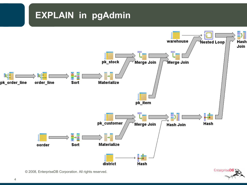# **EXPLAIN in pgAdmin**



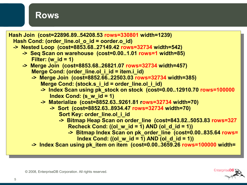#### **Rows**



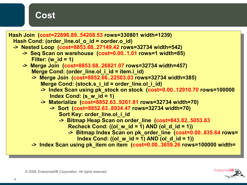#### **Cost**



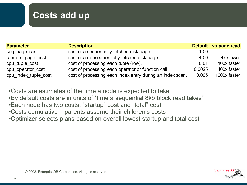### **Costs add up**

| <b>Parameter</b>     | <b>Description</b>                                        |        | Default vs page read |
|----------------------|-----------------------------------------------------------|--------|----------------------|
| seq page cost        | cost of a sequentially fetched disk page.                 | 1.00   |                      |
| random page cost     | cost of a nonsequentially fetched disk page.              | 4.00   | 4x slower            |
| cpu tuple cost       | cost of processing each tuple (row).                      | 0.01   | 100x faster          |
| cpu operator cost    | cost of processing each operator or function call.        | 0.0025 | 400x faster          |
| cpu_index_tuple_cost | cost of processing each index entry during an index scan. | 0.005  | 1000x faster         |

•Costs are estimates of the time a node is expected to take •By default costs are in units of "time a sequential 8kb block read takes" •Each node has two costs, "startup" cost and "total" cost

- •Costs cumulative parents assume their children's costs
- •Optimizer selects plans based on overall lowest startup and total cost

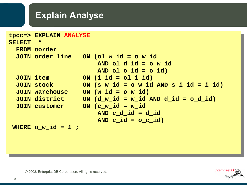### **Explain Analyse**

|          | tpcc=> EXPLAIN ANALYSE  |  |                                                          |  |  |
|----------|-------------------------|--|----------------------------------------------------------|--|--|
| SELECT * |                         |  |                                                          |  |  |
|          | <b>FROM</b> oorder      |  |                                                          |  |  |
|          |                         |  | JOIN order line ON (ol w id = o w id                     |  |  |
|          |                         |  | AND ol $d$ id = $o$ w id                                 |  |  |
|          |                         |  | AND ol $o$ id = $o$ id)                                  |  |  |
|          | JOIN item               |  | ON $(i$ id = $ol$ i id)                                  |  |  |
|          | JOIN stock              |  | ON $(s \text{ w id} = o \text{ w id AND s i id} = i id)$ |  |  |
|          | <b>JOIN warehouse</b>   |  | $ON(w id = o w id)$                                      |  |  |
|          | JOIN district           |  | ON $(d \text{ w id} = \text{ w id AND } d id = o d id)$  |  |  |
|          | <b>JOIN customer</b>    |  | ON $(c \le id = w \le id)$                               |  |  |
|          |                         |  | AND $c$ d $id = d$ $id$                                  |  |  |
|          |                         |  | AND $c$ id = $\circ$ $c$ id)                             |  |  |
|          | WHERE $\circ$ w id = 1; |  |                                                          |  |  |
|          |                         |  |                                                          |  |  |

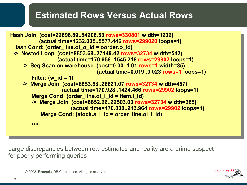### **Estimated Rows Versus Actual Rows**



Large discrepancies between row estimates and reality are a prime suspect for poorly performing queries

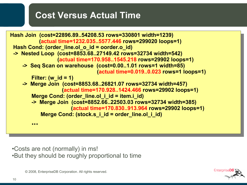#### **Cost Versus Actual Time**



•Costs are not (normally) in ms! •But they should be roughly proportional to time

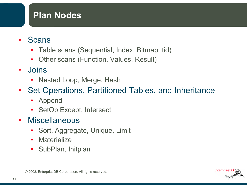### **Plan Nodes**

- **Scans** 
	- Table scans (Sequential, Index, Bitmap, tid)
	- Other scans (Function, Values, Result)
- Joins
	- Nested Loop, Merge, Hash
- Set Operations, Partitioned Tables, and Inheritance
	- Append
	- SetOp Except, Intersect
- Miscellaneous
	- Sort, Aggregate, Unique, Limit
	- Materialize
	- SubPlan, Initplan

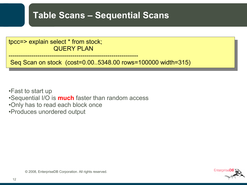### **Table Scans – Sequential Scans**

tpcc=> explain select \* from stock; QUERY PLAN

Seq Scan on stock (cost=0.00..5348.00 rows=100000 width=315)

•Fast to start up •Sequential I/O is **much** faster than random access •Only has to read each block once •Produces unordered output

---------------------------------------------------------------

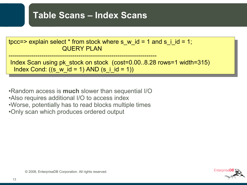### **Table Scans – Index Scans**

| tpcc=> explain select * from stock where s w id = 1 and s i id = 1;<br><b>QUERY PLAN</b>                               |
|------------------------------------------------------------------------------------------------------------------------|
| Index Scan using pk stock on stock (cost=0.008.28 rows=1 width=315)<br>Index Cond: $((s_w_id = 1)$ AND $(s_i_id = 1))$ |

•Random access is **much** slower than sequential I/O •Also requires additional I/O to access index •Worse, potentially has to read blocks multiple times •Only scan which produces ordered output

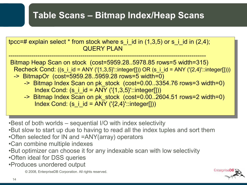### **Table Scans – Bitmap Index/Heap Scans**

tpcc=# explain select  $*$  from stock where s i id in (1,3,5) or s i id in (2,4); QUERY PLAN ------------------------------------------------------------------------------------------------

Bitmap Heap Scan on stock (cost=5959.28..5978.85 rows=5 width=315) Recheck Cond: ((s\_i\_id = ANY ('{1,3,5}'::integer[])) OR (s\_i\_id = ANY ('{2,4}'::integer[])))

- -> BitmapOr (cost=5959.28..5959.28 rows=5 width=0) -> Bitmap Index Scan on pk\_stock (cost=0.00..3354.76 rows=3 width=0)
	- Index Cond:  $(s_i$  i\_id = ANY  $('{1,3,5}'':interger[])$
	- -> Bitmap Index Scan on pk\_stock (cost=0.00..2604.51 rows=2 width=0) Index Cond: (s i id = ANY (' $\{2,4\}$ '::integer[]))

•Best of both worlds – sequential I/O with index selectivity

- •But slow to start up due to having to read all the index tuples and sort them
- •Often selected for IN and =ANY(array) operators
- •Can combine multiple indexes
- •But optimizer can choose it for any indexable scan with low selectivity
- •Often ideal for DSS queries
- •Produces unordered output

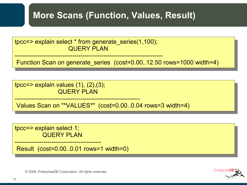### **More Scans (Function, Values, Result)**

tpcc=> explain select \* from generate\_series(1,100); QUERY PLAN

------------------------------------------------------------------------

Function Scan on generate series (cost=0.00..12.50 rows=1000 width=4)

tpcc=> explain values  $(1)$ ,  $(2)$ ,  $(3)$ ; QUERY PLAN

------------------------------------------------------------- Values Scan on "\*VALUES\*" (cost=0.00..0.04 rows=3 width=4)

tpcc=> explain select 1; QUERY PLAN

------------------------------------------ Result (cost=0.00..0.01 rows=1 width=0)

Enterprisel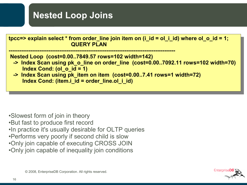

- •Slowest form of join in theory
- •But fast to produce first record
- •In practice it's usually desirable for OLTP queries
- •Performs very poorly if second child is slow
- •Only join capable of executing CROSS JOIN
- •Only join capable of inequality join conditions

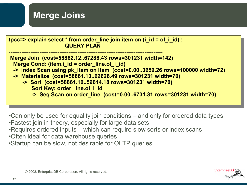

•Can only be used for equality join conditions – and only for ordered data types •Fastest join in theory, especially for large data sets

- •Requires ordered inputs which can require slow sorts or index scans
- •Often ideal for data warehouse queries
- •Startup can be slow, not desirable for OLTP queries

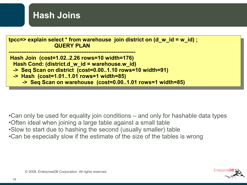

•Can only be used for equality join conditions – and only for hashable data types

- •Often ideal when joining a large table against a small table
- •Slow to start due to hashing the second (usually smaller) table
- •Can be especially slow if the estimate of the size of the tables is wrong

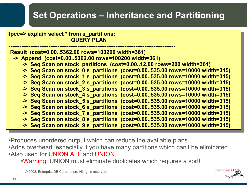## **Set Operations – Inheritance and Partitioning**

**tpcc=> explain select \* from s\_partitions; QUERY PLAN** 

**-------------------------------------------------------------------------------------------- Result (cost=0.00..5362.00 rows=100200 width=361) -> Append (cost=0.00..5362.00 rows=100200 width=361) -> Seq Scan on stock\_partitions (cost=0.00..12.00 rows=200 width=361) -> Seq Scan on stock\_0 s\_partitions (cost=0.00..535.00 rows=10000 width=315) -> Seq Scan on stock\_1 s\_partitions (cost=0.00..535.00 rows=10000 width=315) -> Seq Scan on stock\_2 s\_partitions (cost=0.00..535.00 rows=10000 width=315) -> Seq Scan on stock\_3 s\_partitions (cost=0.00..535.00 rows=10000 width=315) -> Seq Scan on stock\_4 s\_partitions (cost=0.00..535.00 rows=10000 width=315) -> Seq Scan on stock\_5 s\_partitions (cost=0.00..535.00 rows=10000 width=315) -> Seq Scan on stock\_6 s\_partitions (cost=0.00..535.00 rows=10000 width=315) -> Seq Scan on stock\_7 s\_partitions (cost=0.00..535.00 rows=10000 width=315) -> Seq Scan on stock\_8 s\_partitions (cost=0.00..535.00 rows=10000 width=315) -> Seq Scan on stock\_9 s\_partitions (cost=0.00..535.00 rows=10000 width=315)**

•Produces unordered output which can reduce the available plans •Adds overhead, especially if you have many partitions which can't be eliminated •Also used for UNION ALL and UNION

•Warning: UNION must eliminate duplicates which requires a sort!

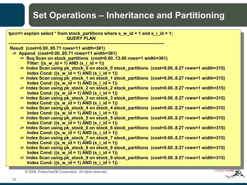## **Set Operations – Inheritance and Partitioning**

| tpcc=> explain select * from stock_partitions where s_w_id = 1 and s_i_id = 1;<br><b>QUERY PLAN</b> |
|-----------------------------------------------------------------------------------------------------|
| Result (cost=0.0095.71 rows=11 width=361)                                                           |
| -> Append (cost=0.0095.71 rows=11 width=361)                                                        |
| -> Seq Scan on stock_partitions (cost=0.0013.00 rows=1 width=361)                                   |
| Filter: $((s \ w \ id = 1)$ AND $(s \ i \ id = 1))$                                                 |
| -> Index Scan using pk_stock_0 on stock_0 stock_partitions (cost=0.008.27 rows=1 width=315)         |
| Index Cond: $((s_w_id = 1)$ AND $(s_i_id = 1))$                                                     |
| -> Index Scan using pk_stock_1 on stock_1 stock_partitions (cost=0.008.27 rows=1 width=315)         |
| Index Cond: $((s \ w \ id = 1)$ AND $(s \ i \ id = 1))$                                             |
| -> Index Scan using pk_stock_2 on stock_2 stock_partitions (cost=0.008.27 rows=1 width=315)         |
| Index Cond: $((s_w_id = 1)$ AND $(s_i_id = 1))$                                                     |
| -> Index Scan using pk_stock_3 on stock_3 stock_partitions (cost=0.008.27 rows=1 width=315)         |
| Index Cond: $((s \ w \ id = 1)$ AND $(s \ i \ id = 1))$                                             |
| -> Index Scan using pk_stock_4 on stock_4 stock_partitions (cost=0.008.27 rows=1 width=315)         |
| Index Cond: $((s_w_id = 1)$ AND $(s_i_id = 1))$                                                     |
| -> Index Scan using pk_stock_5 on stock_5 stock_partitions (cost=0.008.27 rows=1 width=315)         |
| Index Cond: $((s_w_id = 1)$ AND $(s_i_id = 1))$                                                     |
| -> Index Scan using pk_stock_6 on stock_6 stock_partitions (cost=0.008.27 rows=1 width=315)         |
| Index Cond: $((s_w_id = 1)$ AND $(s_i_id = 1))$                                                     |
| -> Index Scan using pk_stock_7 on stock_7 stock_partitions (cost=0.008.27 rows=1 width=315)         |
| Index Cond: $((s_w_id = 1)$ AND $(s_i_id = 1))$                                                     |
| -> Index Scan using pk_stock_8 on stock_8 stock_partitions (cost=0.008.27 rows=1 width=315)         |
| Index Cond: $((s_w_id = 1)$ AND $(s_i_id = 1))$                                                     |
| -> Index Scan using pk_stock_9 on stock_9 stock_partitions (cost=0.008.27 rows=1 width=315)         |
| Index Cond: $((s \ w \ id = 1)$ AND $(s \ i \ id = 1))$                                             |

**EnterpriseDB**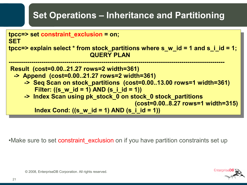# **Set Operations – Inheritance and Partitioning**



•Make sure to set constraint exclusion on if you have partition constraints set up

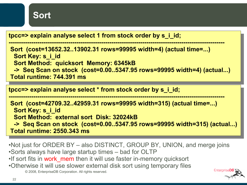

**tpcc=> explain analyse select 1 from stock order by s\_i\_id;**

**--------------------------------------------------------------------------------------------------------- Sort (cost=13652.32..13902.31 rows=99995 width=4) (actual time=...) Sort Key: s\_i\_id Sort Method: quicksort Memory: 6345kB -> Seq Scan on stock (cost=0.00..5347.95 rows=99995 width=4) (actual...) Total runtime: 744.391 ms**

**tpcc=> explain analyse select \* from stock order by s\_i\_id;**

**---------------------------------------------------------------------------------------------------------**

**Sort (cost=42709.32..42959.31 rows=99995 width=315) (actual time=...) Sort Key: s\_i\_id Sort Method: external sort Disk: 32024kB -> Seq Scan on stock (cost=0.00..5347.95 rows=99995 width=315) (actual...) Total runtime: 2550.343 ms**

- •Not just for ORDER BY also DISTINCT, GROUP BY, UNION, and merge joins •Sorts always have large startup times – bad for OLTP
- •If sort fits in work mem then it will use faster in-memory quicksort
- •Otherwise it will use slower external disk sort using temporary files

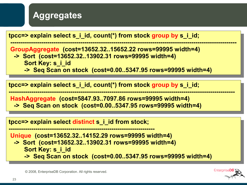

**tpcc=> explain select s\_i\_id, count(\*) from stock group by s\_i\_id;**

**-------------------------------------------------------------------------------------------------------------- GroupAggregate (cost=13652.32..15652.22 rows=99995 width=4) -> Sort (cost=13652.32..13902.31 rows=99995 width=4) Sort Key: s\_i\_id**

 **-> Seq Scan on stock (cost=0.00..5347.95 rows=99995 width=4)**

**tpcc=> explain select s\_i\_id, count(\*) from stock group by s\_i\_id;**

**-------------------------------------------------------------------------------------------------------------- HashAggregate (cost=5847.93..7097.86 rows=99995 width=4)**

 **-> Seq Scan on stock (cost=0.00..5347.95 rows=99995 width=4)**

**tpcc=> explain select distinct s\_i\_id from stock;**

**----------------------------------------------------------------------- Unique (cost=13652.32..14152.29 rows=99995 width=4)**

- **-> Sort (cost=13652.32..13902.31 rows=99995 width=4) Sort Key: s\_i\_id**
	- **-> Seq Scan on stock (cost=0.00..5347.95 rows=99995 width=4)**

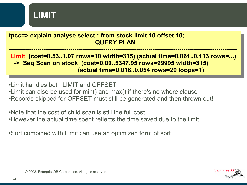

**tpcc=> explain analyse select \* from stock limit 10 offset 10; QUERY PLAN** 

**--------------------------------------------------------------------------------------------------------------- Limit (cost=0.53..1.07 rows=10 width=315) (actual time=0.061..0.113 rows=...) -> Seq Scan on stock (cost=0.00..5347.95 rows=99995 width=315) (actual time=0.018..0.054 rows=20 loops=1)**

•Limit handles both LIMIT and OFFSET •Limit can also be used for min() and max() if there's no where clause •Records skipped for OFFSET must still be generated and then thrown out!

•Note that the cost of child scan is still the full cost •However the actual time spent reflects the time saved due to the limit

•Sort combined with Limit can use an optimized form of sort

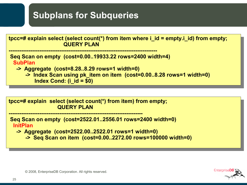## **Subplans for Subqueries**



**tpcc=# explain select (select count(\*) from item) from empty; QUERY PLAN** 

**--------------------------------------------------------------------------**

**Seq Scan on empty (cost=2522.01..2556.01 rows=2400 width=0) InitPlan**

 **-> Aggregate (cost=2522.00..2522.01 rows=1 width=0)**

 **-> Seq Scan on item (cost=0.00..2272.00 rows=100000 width=0)**

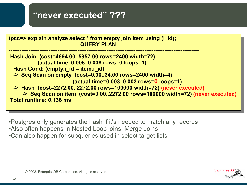#### **"never executed" ???**



•Postgres only generates the hash if it's needed to match any records •Also often happens in Nested Loop joins, Merge Joins •Can also happen for subqueries used in select target lists

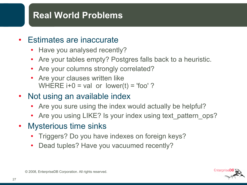### **Real World Problems**

#### • Estimates are inaccurate

- Have you analysed recently?
- Are your tables empty? Postgres falls back to a heuristic.
- Are your columns strongly correlated?
- Are your clauses written like WHERE  $i+0 = val$  or lower(t) = 'foo' ?
- Not using an available index
	- Are you sure using the index would actually be helpful?
	- Are you using LIKE? Is your index using text\_pattern\_ops?
- Mysterious time sinks
	- Triggers? Do you have indexes on foreign keys?
	- Dead tuples? Have you vacuumed recently?